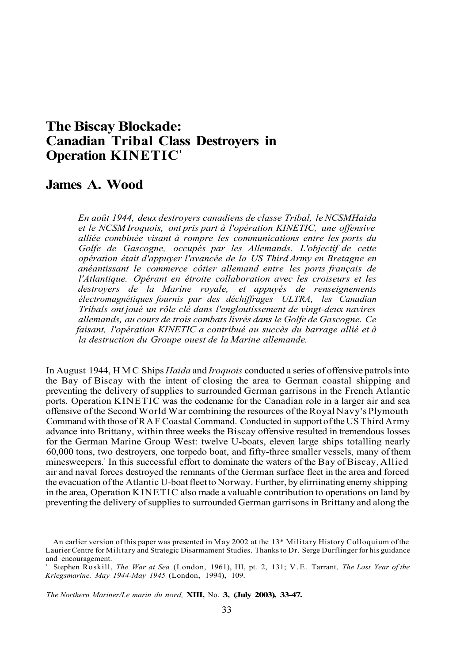# **The Biscay Blockade: Canadian Tribal Class Destroyers in Operation KINETIC<sup>1</sup>**

## **James A. Wood**

*En août 1944, deux destroyers canadiens de classe Tribal, le NCSMHaida et le NCSM Iroquois, ont pris part à l'opération KINETIC, une offensive alliée combinée visant à rompre les communications entre les ports du*  Golfe de Gascogne, occupés par les Allemands. L'objectif de cette *opération était d'appuyer l'avancée de la US Third Army en Bretagne en anéantissant le commerce côtier allemand entre les ports français de l'Atlantique. Opérant en étroite collaboration avec les croiseurs et les destroyers de la Marine royale, et appuyés de renseignements électromagnétiques fournis par des déchiffrages ULTRA, les Canadian Tribals ont joué un rôle clé dans l'engloutissement de vingt-deux navires allemands, au cours de trois combats livrés dans le Golfe de Gascogne. Ce faisant, l'opération KINETIC a contribué au succès du barrage allié et à la destruction du Groupe ouest de la Marine allemande.* 

In August 1944, HM C Ships *Haida* and *Iroquois* conducted a series of offensive patrols into the Bay of Biscay with the intent of closing the area to German coastal shipping and preventing the delivery of supplies to surrounded German garrisons in the French Atlantic ports. Operation KINETIC was the codename for the Canadian role in a larger air and sea offensive of the Second World War combining the resources of the Royal Navy's Plymouth Command with those of RAF Coastal Command. Conducted in support of the US Third Army advance into Brittany, within three weeks the Biscay offensive resulted in tremendous losses for the German Marine Group West: twelve U-boats, eleven large ships totalling nearly 60,000 tons, two destroyers, one torpedo boat, and fifty-three smaller vessels, many of them minesweepers.<sup>2</sup> In this successful effort to dominate the waters of the Bay of Biscay, Allied air and naval forces destroyed the remnants of the German surface fleet in the area and forced the evacuation of the Atlantic U-boat fleet to Norway. Further, by elirriinating enemy shipping in the area, Operation KINETIC also made a valuable contribution to operations on land by preventing the delivery of supplies to surrounded German garrisons in Brittany and along the

*The Northern Mariner/I.e marin du nord,* **XIII,** No. **3, (July 2003), 33-47.** 

An earlier version of this paper was presented in May 2002 at the 13\* Military History Colloquium of the Laurier Centre for Military and Strategic Disarmament Studies. Thanks to Dr. Serge Durflinger for his guidance and encouragement.

Stephen Roskill, *The War at Sea* (London, 1961), HI, pt. 2, 131; V.E. Tarrant, *The Last Year of the Kriegsmarine. May 1944-May 1945* (London, 1994), 109.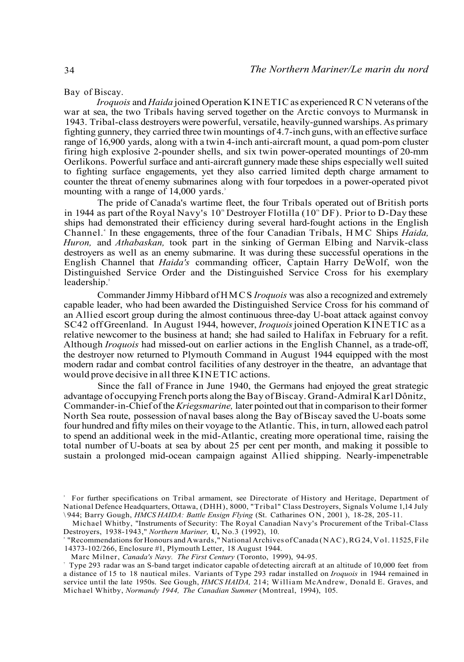Bay of Biscay.

*Iroquois* and *Haida* joined Operation KINETIC as experienced RC N veterans of the war at sea, the two Tribals having served together on the Arctic convoys to Murmansk in 1943. Tribal-class destroyers were powerful, versatile, heavily-gunned warships. As primary fighting gunnery, they carried three twin mountings of 4.7-inch guns, with an effective surface range of 16,900 yards, along with a twin 4-inch anti-aircraft mount, a quad pom-pom cluster firing high explosive 2-pounder shells, and six twin power-operated mountings of 20-mm Oerlikons. Powerful surface and anti-aircraft gunnery made these ships especially well suited to fighting surface engagements, yet they also carried limited depth charge armament to counter the threat of enemy submarines along with four torpedoes in a power-operated pivot mounting with a range of 14,000 yards.<sup>3</sup>

The pride of Canada's wartime fleet, the four Tribals operated out of British ports in 1944 as part of the Royal Navy's  $10^{\circ}$  Destroyer Flotilla ( $10^{\circ}$  DF). Prior to D-Day these ships had demonstrated their efficiency during several hard-fought actions in the English Channel.<sup>4</sup> In these engagements, three of the four Canadian Tribals, HMC Ships *Haida*, *Huron,* and *Athabaskan,* took part in the sinking of German Elbing and Narvik-class destroyers as well as an enemy submarine. It was during these successful operations in the English Channel that *Haida's* commanding officer, Captain Harry DeWolf, won the Distinguished Service Order and the Distinguished Service Cross for his exemplary leadership.<sup>5</sup>

Commander Jimmy Hibbard of HMCS *Iroquois* was also a recognized and extremely capable leader, who had been awarded the Distinguished Service Cross for his command of an Allied escort group during the almost continuous three-day U-boat attack against convoy SC42 off Greenland. In August 1944, however, *Iroquois* joined Operation KINETIC as a relative newcomer to the business at hand; she had sailed to Halifax in February for a refit. Although *Iroquois* had missed-out on earlier actions in the English Channel, as a trade-off, the destroyer now returned to Plymouth Command in August 1944 equipped with the most modern radar and combat control facilities of any destroyer in the theatre, an advantage that would prove decisive in all three KINETIC actions.

Since the fall of France in June 1940, the Germans had enjoyed the great strategic advantage of occupying French ports along the Bay of Biscay. Grand-Admiral Karl Dônitz, Commander-in-Chief of the *Kriegsmarine,* later pointed out that in comparison to their former North Sea route, possession of naval bases along the Bay of Biscay saved the U-boats some four hundred and fifty miles on their voyage to the Atlantic. This, in turn, allowed each patrol to spend an additional week in the mid-Atlantic, creating more operational time, raising the total number of U-boats at sea by about 25 per cent per month, and making it possible to sustain a prolonged mid-ocean campaign against Allied shipping. Nearly-impenetrable

For further specifications on Tribal armament, see Directorate of History and Heritage, Department of National Defence Headquarters, Ottawa, (DHH), 8000, "Tribal" Class Destroyers, Signals Volume 1,14 July \ 944; Barry Gough, *HMCS HAIDA: Battle Ensign Flying* (St. Catharines ON, 2001 ), 18-28, 205-11.

Michael Whitby, "Instruments of Security: The Royal Canadian Navy's Procurement of the Tribal-Class Destroyers, 1938-1943," *Northern Mariner,* **U,** No.3 (1992), 10.

<sup>5</sup> "Recommendations for Honours and Awards," National Archives of Canada (NAC), RG 24, Vol. 11525, File 14373-102/266, Enclosure #1, Plymouth Letter, 18 August 1944.

Marc Milner, *Canada's Navy. The First Century* (Toronto, 1999), 94-95.

Type 293 radar was an S-band target indicator capable of detecting aircraft at an altitude of 10,000 feet from a distance of 15 to 18 nautical miles. Variants of Type 293 radar installed on *Iroquois* in 1944 remained in service until the late 1950s. See Gough, *HMCS HAIDA,* 214; William McAndrew, Donald E. Graves, and Michael Whitby, *Normandy 1944, The Canadian Summer* (Montreal, 1994), 105.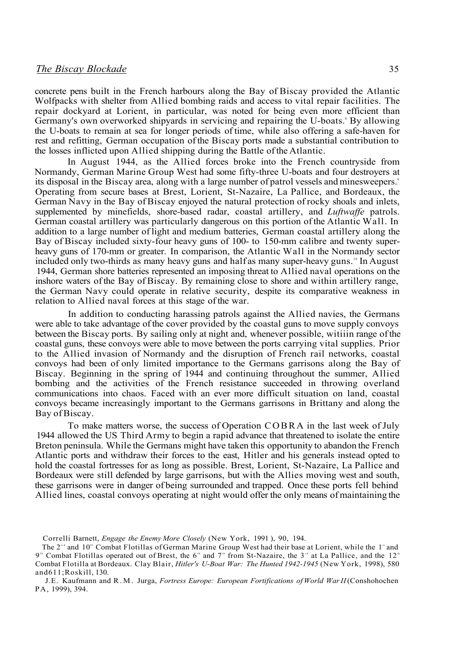concrete pens built in the French harbours along the Bay of Biscay provided the Atlantic Wolfpacks with shelter from Allied bombing raids and access to vital repair facilities. The repair dockyard at Lorient, in particular, was noted for being even more efficient than Germany's own overworked shipyards in servicing and repairing the U-boats.<sup>8</sup> By allowing the U-boats to remain at sea for longer periods of time, while also offering a safe-haven for rest and refitting, German occupation of the Biscay ports made a substantial contribution to the losses inflicted upon Allied shipping during the Battle of the Atlantic.

In August 1944, as the Allied forces broke into the French countryside from Normandy, German Marine Group West had some fifty-three U-boats and four destroyers at its disposal in the Biscay area, along with a large number of patrol vessels and minesweepers.<sup>9</sup> Operating from secure bases at Brest, Lorient, St-Nazaire, La Pallice, and Bordeaux, the German Navy in the Bay of Biscay enjoyed the natural protection of rocky shoals and inlets, supplemented by minefields, shore-based radar, coastal artillery, and *Luftwaffe* patrols. German coastal artillery was particularly dangerous on this portion of the Atlantic Wall. In addition to a large number of light and medium batteries, German coastal artillery along the Bay of Biscay included sixty-four heavy guns of 100- to 150-mm calibre and twenty superheavy guns of 170-mm or greater. In comparison, the Atlantic Wall in the Normandy sector included only two-thirds as many heavy guns and half as many super-heavy guns.<sup>10</sup> In August 1944, German shore batteries represented an imposing threat to Allied naval operations on the inshore waters of the Bay of Biscay. By remaining close to shore and within artillery range, the German Navy could operate in relative security, despite its comparative weakness in relation to Allied naval forces at this stage of the war.

In addition to conducting harassing patrols against the Allied navies, the Germans were able to take advantage of the cover provided by the coastal guns to move supply convoys between the Biscay ports. By sailing only at night and, whenever possible, witiiin range of the coastal guns, these convoys were able to move between the ports carrying vital supplies. Prior to the Allied invasion of Normandy and the disruption of French rail networks, coastal convoys had been of only limited importance to the Germans garrisons along the Bay of Biscay. Beginning in the spring of 1944 and continuing throughout the summer, Allied bombing and the activities of the French resistance succeeded in throwing overland communications into chaos. Faced with an ever more difficult situation on land, coastal convoys became increasingly important to the Germans garrisons in Brittany and along the Bay of Biscay.

To make matters worse, the success of Operation COBRA in the last week of July 1944 allowed the US Third Army to begin a rapid advance that threatened to isolate the entire Breton peninsula. While the Germans might have taken this opportunity to abandon the French Atlantic ports and withdraw their forces to the east, Hitler and his generals instead opted to hold the coastal fortresses for as long as possible. Brest, Lorient, St-Nazaire, La Pallice and Bordeaux were still defended by large garrisons, but with the Allies moving west and south, these garrisons were in danger of being surrounded and trapped. Once these ports fell behind Allied lines, coastal convoys operating at night would offer the only means of maintaining the

Correlli Barnett, *Engage the Enemy More Closely* (New York, 1991 ), 90, 194.

The 2<sup><sup>ad</sup> and 10<sup>o</sup> Combat Flotillas of German Marine Group West had their base at Lorient, while the 1<sup>a</sup> and</sup>  $9<sup>th</sup>$  Combat Flotillas operated out of Brest, the 6<sup>th</sup> and 7<sup>th</sup> from St-Nazaire, the 3<sup>th</sup> at La Pallice, and the 12<sup>th</sup> Combat Flotilla at Bordeaux. Clay Blair, *Hitler's U-Boat War: The Hunted 1942-1945* (New York, 1998), 580 and611;Roskill, 130.

J.E. Kaufmann and R.M . Jurga, *Fortress Europe: European Fortifications of World War II* (Conshohochen PA, 1999), 394.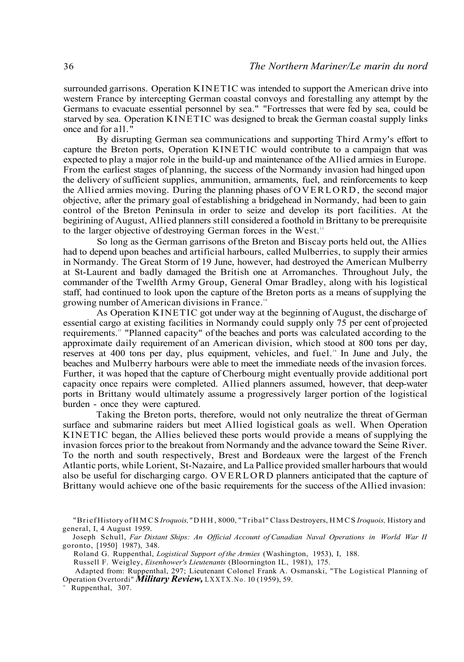surrounded garrisons. Operation KINETIC was intended to support the American drive into western France by intercepting German coastal convoys and forestalling any attempt by the Germans to evacuate essential personnel by sea." "Fortresses that were fed by sea, could be starved by sea. Operation KINETIC was designed to break the German coastal supply links once and for all."

By disrupting German sea communications and supporting Third Army's effort to capture the Breton ports, Operation KINETIC would contribute to a campaign that was expected to play a major role in the build-up and maintenance of the Allied armies in Europe. From the earliest stages of planning, the success of the Normandy invasion had hinged upon the delivery of sufficient supplies, ammunition, armaments, fuel, and reinforcements to keep the Allied armies moving. During the planning phases of OVERLORD, the second major objective, after the primary goal of establishing a bridgehead in Normandy, had been to gain control of the Breton Peninsula in order to seize and develop its port facilities. At the begirining of August, Allied planners still considered a foothold in Brittany to be prerequisite to the larger objective of destroying German forces in the West.<sup>13</sup>

So long as the German garrisons of the Breton and Biscay ports held out, the Allies had to depend upon beaches and artificial harbours, called Mulberries, to supply their armies in Normandy. The Great Storm of 19 June, however, had destroyed the American Mulberry at St-Laurent and badly damaged the British one at Arromanches. Throughout July, the commander of the Twelfth Army Group, General Omar Bradley, along with his logistical staff, had continued to look upon the capture of the Breton ports as a means of supplying the growing number of American divisions in France.<sup>14</sup>

As Operation KINETIC got under way at the beginning of August, the discharge of essential cargo at existing facilities in Normandy could supply only 75 per cent of projected requirements.<sup>15</sup> "Planned capacity" of the beaches and ports was calculated according to the approximate daily requirement of an American division, which stood at 800 tons per day, reserves at 400 tons per day, plus equipment, vehicles, and fuel.<sup>16</sup> In June and July, the beaches and Mulberry harbours were able to meet the immediate needs of the invasion forces. Further, it was hoped that the capture of Cherbourg might eventually provide additional port capacity once repairs were completed. Allied planners assumed, however, that deep-water ports in Brittany would ultimately assume a progressively larger portion of the logistical burden - once they were captured.

Taking the Breton ports, therefore, would not only neutralize the threat of German surface and submarine raiders but meet Allied logistical goals as well. When Operation KINETIC began, the Allies believed these ports would provide a means of supplying the invasion forces prior to the breakout from Normandy and the advance toward the Seine River. To the north and south respectively, Brest and Bordeaux were the largest of the French Atlantic ports, while Lorient, St-Nazaire, and La Pallice provided smaller harbours that would also be useful for discharging cargo. OVERLORD planners anticipated that the capture of Brittany would achieve one of the basic requirements for the success of the Allied invasion:

Roland G. Ruppenthal, *Logistical Support of the Armies* (Washington, 1953), I, 188.

<sup>&</sup>quot;Brief History of HMCS *Iroquois,"* DHH , 8000, "Tribal" Class Destroyers, HMCS *Iroquois,* History and general, I, 4 August 1959.

Joseph Schull, *Far Distant Ships: An Official Account of Canadian Naval Operations in World War II*  goronto, [1950] 1987), 348.

Russell F. Weigley, *Eisenhower's Lieutenants* (Bloornington IL, 1981), 175.

Adapted from: Ruppenthal, 297; Lieutenant Colonel Frank A. Osmanski, "The Logistical Planning of Operation Overtordi" *Military Review,* LXXTX.No . 10 (1959), 59.

m Ruppenthal, 307.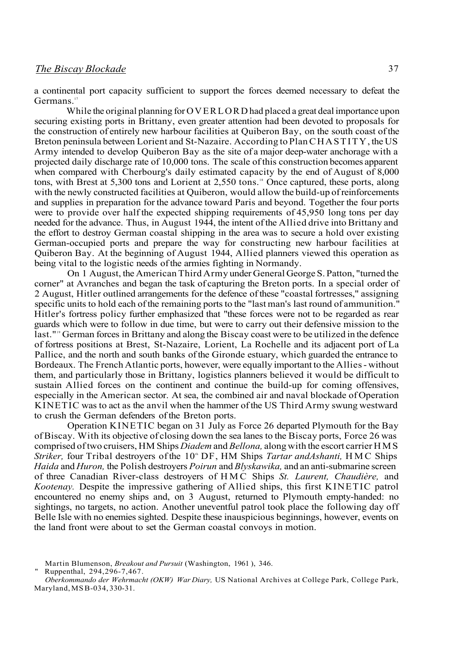a continental port capacity sufficient to support the forces deemed necessary to defeat the Germans.<sup>17</sup>

While the original planning for OVERLORD had placed a great deal importance upon securing existing ports in Brittany, even greater attention had been devoted to proposals for the construction of entirely new harbour facilities at Quiberon Bay, on the south coast of the Breton peninsula between Lorient and St-Nazaire. According to Plan CHASTITY, the US Army intended to develop Quiberon Bay as the site of a major deep-water anchorage with a projected daily discharge rate of 10,000 tons. The scale of this construction becomes apparent when compared with Cherbourg's daily estimated capacity by the end of August of 8,000 tons, with Brest at 5,300 tons and Lorient at 2,550 tons.<sup>18</sup> Once captured, these ports, along with the newly constructed facilities at Quiberon, would allow the build-up of reinforcements and supplies in preparation for the advance toward Paris and beyond. Together the four ports were to provide over half the expected shipping requirements of 45,950 long tons per day needed for the advance. Thus, in August 1944, the intent of the Allied drive into Brittany and the effort to destroy German coastal shipping in the area was to secure a hold over existing German-occupied ports and prepare the way for constructing new harbour facilities at Quiberon Bay. At the beginning of August 1944, Allied planners viewed this operation as being vital to the logistic needs of the armies fighting in Normandy.

On 1 August, the American Third Army under General George S. Patton, "turned the corner" at Avranches and began the task of capturing the Breton ports. In a special order of 2 August, Hitler outlined arrangements for the defence of these "coastal fortresses," assigning specific units to hold each of the remaining ports to the "last man's last round of ammunition." Hitler's fortress policy further emphasized that "these forces were not to be regarded as rear guards which were to follow in due time, but were to carry out their defensive mission to the last."<sup>9</sup> German forces in Brittany and along the Biscay coast were to be utilized in the defence of fortress positions at Brest, St-Nazaire, Lorient, La Rochelle and its adjacent port of La Pallice, and the north and south banks of the Gironde estuary, which guarded the entrance to Bordeaux. The French Atlantic ports, however, were equally important to the Allies - without them, and particularly those in Brittany, logistics planners believed it would be difficult to sustain Allied forces on the continent and continue the build-up for coming offensives, especially in the American sector. At sea, the combined air and naval blockade of Operation KINETIC was to act as the anvil when the hammer of the US Third Army swung westward to crush the German defenders of the Breton ports.

Operation KINETIC began on 31 July as Force 26 departed Plymouth for the Bay of Biscay. With its objective of closing down the sea lanes to the Biscay ports, Force 26 was comprised of two cruisers, HM Ships *Diadem* and *Bellona,* along with the escort carrier HMS *Striker*, four Tribal destroyers of the 10<sup>th</sup> DF, HM Ships Tartar andAshanti, HMC Ships *Haida* and *Huron,* the Polish destroyers *Poirun* and *Blyskawika,* and an anti-submarine screen of three Canadian River-class destroyers of HM C Ships *St. Laurent, Chaudière,* and *Kootenay.* Despite the impressive gathering of Allied ships, this first KINETIC patrol encountered no enemy ships and, on 3 August, returned to Plymouth empty-handed: no sightings, no targets, no action. Another uneventful patrol took place the following day off Belle Isle with no enemies sighted. Despite these inauspicious beginnings, however, events on the land front were about to set the German coastal convoys in motion.

Ruppenthal, 294, 296-7, 467.

Martin Blumenson, *Breakout and Pursuit* (Washington, 1961 ), 346.

*Oberkommando der Wehrmacht (OKW) War Diary,* US National Archives at College Park, College Park, Maryland, MS B-034, 330-31.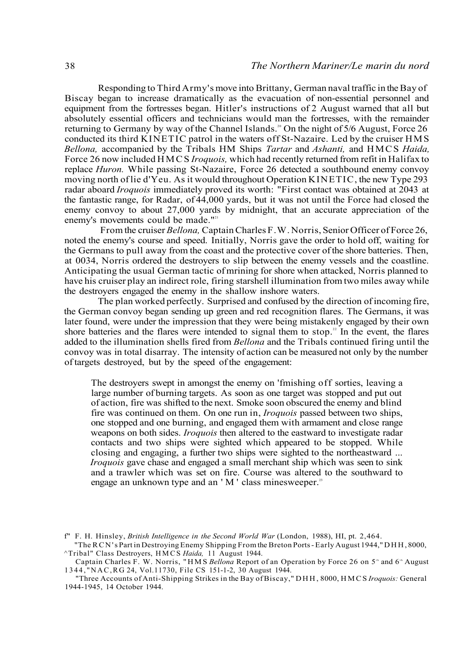Responding to Third Army's move into Brittany, German naval traffic in the Bay of Biscay began to increase dramatically as the evacuation of non-essential personnel and equipment from the fortresses began. Hitler's instructions of 2 August warned that all but absolutely essential officers and technicians would man the fortresses, with the remainder returning to Germany by way of the Channel Islands.<sup>20</sup> On the night of 5/6 August, Force 26 conducted its third KINETIC patrol in the waters off St-Nazaire. Led by the cruiser HMS *Bellona,* accompanied by the Tribals HM Ships *Tartar* and *Ashanti,* and HMCS *Haida,*  Force 26 now included HMCS *Iroquois,* which had recently returned from refit in Halifax to replace *Huron.* While passing St-Nazaire, Force 26 detected a southbound enemy convoy moving north of lie d'Yeu. As it would throughout Operation KINETIC, the new Type 293 radar aboard *Iroquois* immediately proved its worth: "First contact was obtained at 2043 at the fantastic range, for Radar, of 44,000 yards, but it was not until the Force had closed the enemy convoy to about 27,000 yards by midnight, that an accurate appreciation of the enemy's movements could be made."<sup>21</sup>

From the cruiser *Bellona,* Captain Charles F.W. Norris, Senior Officer of Force 26, noted the enemy's course and speed. Initially, Norris gave the order to hold off, waiting for the Germans to pull away from the coast and the protective cover of the shore batteries. Then, at 0034, Norris ordered the destroyers to slip between the enemy vessels and the coastline. Anticipating the usual German tactic of mrining for shore when attacked, Norris planned to have his cruiser play an indirect role, firing starshell illumination from two miles away while the destroyers engaged the enemy in the shallow inshore waters.

The plan worked perfectly. Surprised and confused by the direction of incoming fire, the German convoy began sending up green and red recognition flares. The Germans, it was later found, were under the impression that they were being mistakenly engaged by their own shore batteries and the flares were intended to signal them to stop.<sup>22</sup> In the event, the flares added to the illumination shells fired from *Bellona* and the Tribals continued firing until the convoy was in total disarray. The intensity of action can be measured not only by the number of targets destroyed, but by the speed of the engagement:

The destroyers swept in amongst the enemy on 'fmishing off sorties, leaving a large number of burning targets. As soon as one target was stopped and put out of action, fire was shifted to the next. Smoke soon obscured the enemy and blind fire was continued on them. On one run in, *Iroquois* passed between two ships, one stopped and one burning, and engaged them with armament and close range weapons on both sides. *Iroquois* then altered to the eastward to investigate radar contacts and two ships were sighted which appeared to be stopped. While closing and engaging, a further two ships were sighted to the northeastward ... *Iroquois* gave chase and engaged a small merchant ship which was seen to sink and a trawler which was set on fire. Course was altered to the southward to engage an unknown type and an  $'M'$  class minesweeper.<sup>23</sup>

f" F. H. Hinsley, *British Intelligence in the Second World War* (London, 1988), HI, pt. 2,464.

<sup>&</sup>quot;The RCN's Part in Destroying Enemy Shipping From the Breton Ports - Early August 1944," DHH, 8000, ^Tribal" Class Destroyers, HMCS *Haida,* 11 August 1944.

Captain Charles F. W. Norris, "HMS Bellona Report of an Operation by Force 26 on 5<sup>th</sup> and 6<sup>th</sup> August 1344,"NAC,R G 24, Vol.11730, File CS 151-1-2, 30 August 1944.

<sup>&</sup>quot;Three Accounts of Anti-Shipping Strikes in the Bay of Biscay," DHH , 8000, HMCS *Iroquois:* General 1944-1945, 14 October 1944.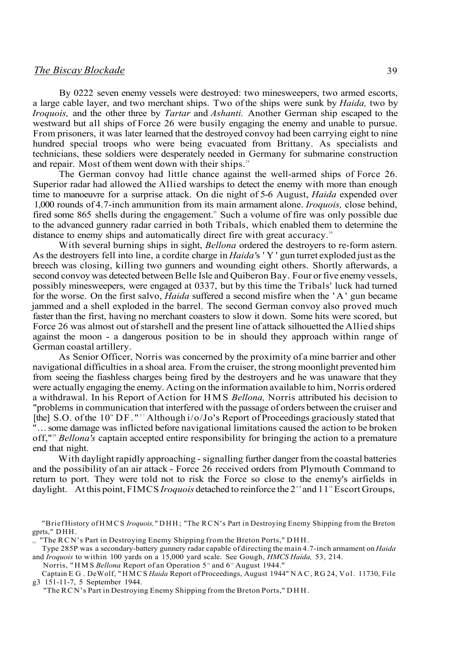By 0222 seven enemy vessels were destroyed: two minesweepers, two armed escorts, a large cable layer, and two merchant ships. Two of the ships were sunk by *Haida,* two by *Iroquois,* and the other three by *Tartar* and *Ashanti.* Another German ship escaped to the westward but all ships of Force 26 were busily engaging the enemy and unable to pursue. From prisoners, it was later learned that the destroyed convoy had been carrying eight to nine hundred special troops who were being evacuated from Brittany. As specialists and technicians, these soldiers were desperately needed in Germany for submarine construction and repair. Most of them went down with their ships.<sup>24</sup>

The German convoy had little chance against the well-armed ships of Force 26. Superior radar had allowed the Allied warships to detect the enemy with more than enough time to manoeuvre for a surprise attack. On die night of 5-6 August, *Haida* expended over 1,000 rounds of 4.7-inch ammunition from its main armament alone. *Iroquois,* close behind, fired some 865 shells during the engagement.<sup>26</sup> Such a volume of fire was only possible due to the advanced gunnery radar carried in both Tribals, which enabled them to determine the distance to enemy ships and automatically direct fire with great accuracy.<sup>26</sup>

With several burning ships in sight, *Bellona* ordered the destroyers to re-form astern. As the destroyers fell into line, a cordite charge in *Haida'*s 'Y ' gun turret exploded just as the breech was closing, killing two gunners and wounding eight others. Shortly afterwards, a second convoy was detected between Belle Isle and Quiberon Bay. Four or five enemy vessels, possibly minesweepers, were engaged at 0337, but by this time the Tribals' luck had turned for the worse. On the first salvo, *Haida* suffered a second misfire when the 'A ' gun became jammed and a shell exploded in the barrel. The second German convoy also proved much faster than the first, having no merchant coasters to slow it down. Some hits were scored, but Force 26 was almost out of starshell and the present line of attack silhouetted the Allied ships against the moon - a dangerous position to be in should they approach within range of German coastal artillery.

As Senior Officer, Norris was concerned by the proximity of a mine barrier and other navigational difficulties in a shoal area. From the cruiser, the strong moonlight prevented him from seeing the fiashless charges being fired by the destroyers and he was unaware that they were actually engaging the enemy. Acting on the information available to him, Norris ordered a withdrawal. In his Report of Action for HMS *Bellona,* Norris attributed his decision to "problems in communication that interfered with the passage of orders between the cruiser and [the] S.O. of the 10<sup>th</sup> DF. "<sup>27</sup> Although i/o/Jo's Report of Proceedings graciously stated that  $\overline{\mathbf{r}}$ ... some damage was inflicted before navigational limitations caused the action to be broken off,"<sup>28</sup> Bellona's captain accepted entire responsibility for bringing the action to a premature end that night.

With daylight rapidly approaching - signalling further danger from the coastal batteries and the possibility of an air attack - Force 26 received orders from Plymouth Command to return to port. They were told not to risk the Force so close to the enemy's airfields in daylight. At this point, FIMCS *Iroquois* detached to reinforce the 2<sup>-4</sup> and 11<sup>th</sup> Escort Groups,

<sup>&</sup>quot;Brief History of HMCS *Iroquois,"* DHH ; "The RCN's Part in Destroying Enemy Shipping from the Breton gprts," DHH.

<sup>2</sup> 6 "The RCN's Part in Destroying Enemy Shipping from the Breton Ports," DHH .

Type 285P was a secondary-battery gunnery radar capable of directing the main 4.7-inch armament on *Haida*  and *Iroquois* to within 100 yards on a 15,000 yard scale. See Gough, *HMCS Haida,* 53, 214.

Norris, "HMS Bellona Report of an Operation 5<sup>th</sup> and 6<sup>th</sup> August 1944."

Captain EG . DeWolf, "HMCS *Haida* Report of Proceedings, August 1944" NAC, RG 24, Vol. 11730, File g3 151-11-7, 5 September 1944.

<sup>&</sup>quot;The RCN's Part in Destroying Enemy Shipping from the Breton Ports," DHH .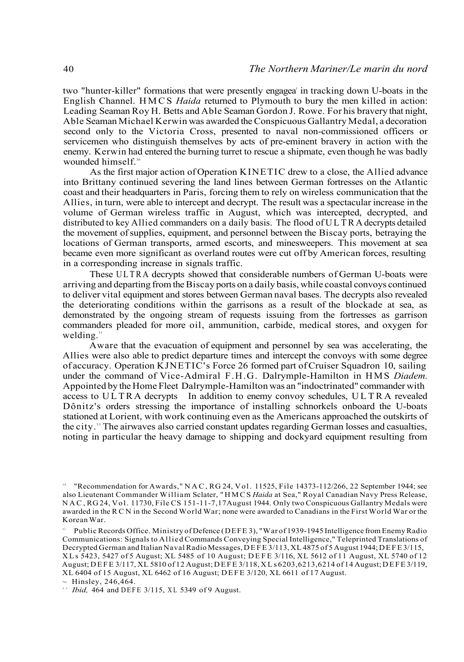two "hunter-killer" formations that were presently engagea' in tracking down U-boats in the English Channel. HMCS *Haida* returned to Plymouth to bury the men killed in action: Leading Seaman Roy H. Betts and Able Seaman Gordon J. Rowe. For his bravery that night, Able Seaman Michael Kerwin was awarded the Conspicuous Gallantry Medal, a decoration second only to the Victoria Cross, presented to naval non-commissioned officers or servicemen who distinguish themselves by acts of pre-eminent bravery in action with the enemy. Kerwin had entered the burning turret to rescue a shipmate, even though he was badly wounded himself<sup>30</sup>

As the first major action of Operation KINETIC drew to a close, the Allied advance into Brittany continued severing the land lines between German fortresses on the Atlantic coast and their headquarters in Paris, forcing them to rely on wireless communication that the Allies, in turn, were able to intercept and decrypt. The result was a spectacular increase in the volume of German wireless traffic in August, which was intercepted, decrypted, and distributed to key Allied commanders on a daily basis. The flood of ULTR A decrypts detailed the movement of supplies, equipment, and personnel between the Biscay ports, betraying the locations of German transports, armed escorts, and minesweepers. This movement at sea became even more significant as overland routes were cut off by American forces, resulting in a corresponding increase in signals traffic.

These ULTR A decrypts showed that considerable numbers of German U-boats were arriving and departing from the Biscay ports on a daily basis, while coastal convoys continued to deliver vital equipment and stores between German naval bases. The decrypts also revealed the deteriorating conditions within the garrisons as a result of the blockade at sea, as demonstrated by the ongoing stream of requests issuing from the fortresses as garrison commanders pleaded for more oil, ammunition, carbide, medical stores, and oxygen for welding. $31$ 

Aware that the evacuation of equipment and personnel by sea was accelerating, the Allies were also able to predict departure times and intercept the convoys with some degree of accuracy. Operation KJNETIC's Force 26 formed part of Cruiser Squadron 10, sailing under the command of Vice-Admiral F.H.G. Dalrymple-Hamilton in HMS *Diadem.*  Appointed by the Home Fleet Dalrymple-Hamilton was an "indoctrinated" commander with access to ULTR A decrypts In addition to enemy convoy schedules, ULTR A revealed Dônitz's orders stressing the importance of installing schnorkels onboard the U-boats stationed at Lorient, with work continuing even as the Americans approached the outskirts of the city.<sup>33</sup> The airwaves also carried constant updates regarding German losses and casualties, noting in particular the heavy damage to shipping and dockyard equipment resulting from

 $\sim$  Hinsley, 246,464.

<sup>3</sup><sup>3</sup> *Ibid*, 464 and DEFE 3/115, XL 5349 of 9 August.

<sup>3</sup> 0 "Recommendation for Awards," NAC , RG 24, Vol. 11525, File 14373-112/266, 22 September 1944; see also Lieutenant Commander William Sclater, "HMCS *Haida* at Sea," Royal Canadian Navy Press Release, NAC , RG 24, Vol. 11730, File CS 151-11-7,17August 1944. Only two Conspicuous Gallantry Medals were awarded in the RC N in the Second World War; none were awarded to Canadians in the First World War or the Korean War.

<sup>3</sup> 1 Public Records Office. Ministry of Defence (DEFE 3), "War of 1939-1945 Intelligence from Enemy Radio Communications: Signals to Allied Commands Conveying Special Intelligence," Teleprinted Translations of Decrypted German and Italian Naval Radio Messages, DEFE 3/113, XL 4875 of 5 August 1944; DEFE 3/115, X L s 5423, 5427 of 5 August; XL 5485 of 10 August; DEF E 3/116, XL 5612 of 11 August, XL 5740 of 12 August; DEFE 3/117, XL 5810 of 12 August; DEFE 3/118, XL s 6203,6213,6214 of 14 August; DEFE 3/119, XL 6404 of 15 August, XL 6462 of 16 August; DEFE 3/120, XL 6611 of 17 August.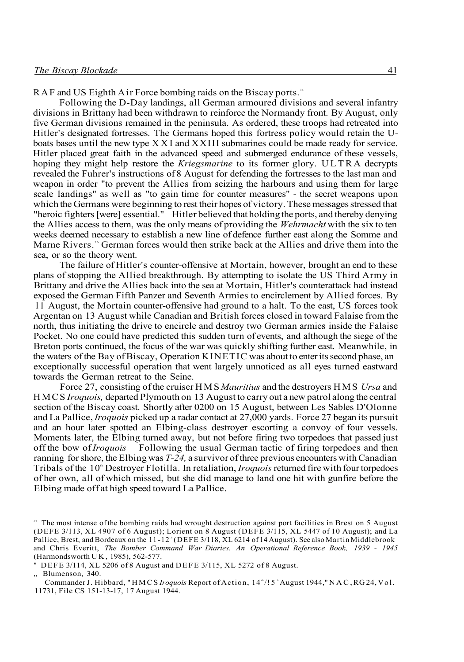RAF and US Eighth Air Force bombing raids on the Biscay ports.<sup>34</sup>

Following the D-Day landings, all German armoured divisions and several infantry divisions in Brittany had been withdrawn to reinforce the Normandy front. By August, only five German divisions remained in the peninsula. As ordered, these troops had retreated into Hitler's designated fortresses. The Germans hoped this fortress policy would retain the Uboats bases until the new type XX I and XXIII submarines could be made ready for service. Hitler placed great faith in the advanced speed and submerged endurance of these vessels, hoping they might help restore the *Kriegsmarine* to its former glory. ULTR A decrypts revealed the Fuhrer's instructions of 8 August for defending the fortresses to the last man and weapon in order "to prevent the Allies from seizing the harbours and using them for large scale landings" as well as "to gain time for counter measures" - the secret weapons upon which the Germans were beginning to rest their hopes of victory. These messages stressed that "heroic fighters [were] essential." Hitler believed that holding the ports, and thereby denying the Allies access to them, was the only means of providing the *Wehrmacht* with the six to ten weeks deemed necessary to establish a new line of defence further east along the Somme and Marne Rivers.<sup>36</sup> German forces would then strike back at the Allies and drive them into the sea, or so the theory went.

The failure of Hitler's counter-offensive at Mortain, however, brought an end to these plans of stopping the Allied breakthrough. By attempting to isolate the US Third Army in Brittany and drive the Allies back into the sea at Mortain, Hitler's counterattack had instead exposed the German Fifth Panzer and Seventh Armies to encirclement by Allied forces. By 11 August, the Mortain counter-offensive had ground to a halt. To the east, US forces took Argentan on 13 August while Canadian and British forces closed in toward Falaise from the north, thus initiating the drive to encircle and destroy two German armies inside the Falaise Pocket. No one could have predicted this sudden turn of events, and although the siege of the Breton ports continued, the focus of the war was quickly shifting further east. Meanwhile, in the waters of the Bay of Biscay, Operation KINETIC was about to enter its second phase, an exceptionally successful operation that went largely unnoticed as all eyes turned eastward towards the German retreat to the Seine.

Force 27, consisting of the cruiser HMS *Mauritius* and the destroyers HMS *Ursa* and HMCS *Iroquois,* departed Plymouth on 13 August to carry out a new patrol along the central section of the Biscay coast. Shortly after 0200 on 15 August, between Les Sables D'Olonne and La Pallice, *Iroquois* picked up a radar contact at 27,000 yards. Force 27 began its pursuit and an hour later spotted an Elbing-class destroyer escorting a convoy of four vessels. Moments later, the Elbing turned away, but not before firing two torpedoes that passed just off the bow of *Iroquois* Following the usual German tactic of firing torpedoes and then ranning for shore, the Elbing was *T-24,* a survivor of three previous encounters with Canadian Tribals of the 10<sup>th</sup> Destroyer Flotilla. In retaliation, *Iroquois* returned fire with four torpedoes of her own, all of which missed, but she did manage to land one hit with gunfire before the Elbing made off at high speed toward La Pallice.

" Blumenson, 340.

Commander J. Hibbard, "HMCS Iroquois Report of Action, 14"/! 5" August 1944, "NAC, RG24, Vol. 11731, File CS 151-13-17, 17 August 1944.

<sup>&</sup>lt;sup>34</sup> The most intense of the bombing raids had wrought destruction against port facilities in Brest on 5 August (DEFE 3/113, XL 4907 of 6 August); Lorient on 8 August (DEFE 3/115, XL 5447 of 10 August); and La Pallice, Brest, and Bordeaux on the 11-12<sup>th</sup> (DEFE 3/118, XL 6214 of 14 August). See also Martin Middlebrook and Chris Everitt, *The Bomber Command War Diaries. An Operational Reference Book, 1939 - 1945*  (Harmondsworth UK , 1985), 562-577.

<sup>&</sup>quot; DEFE 3/114, XL 5206 of 8 August and DEFE 3/115, XL 5272 of 8 August.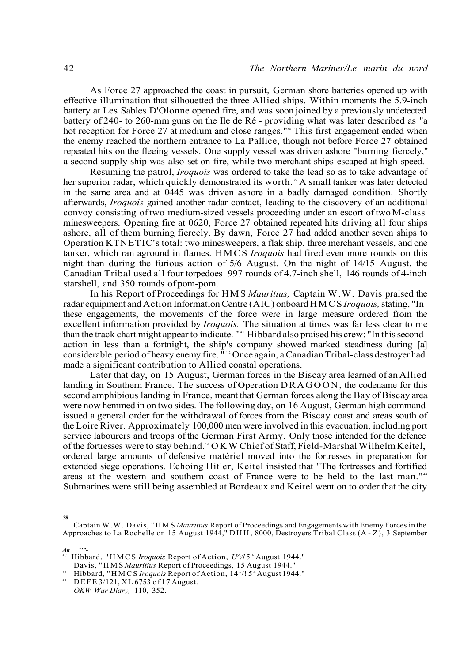As Force 27 approached the coast in pursuit, German shore batteries opened up with effective illumination that silhouetted the three Allied ships. Within moments the 5.9-inch battery at Les Sables D'Olonne opened fire, and was soon joined by a previously undetected battery of 240- to 260-mm guns on the Ile de Ré - providing what was later described as "a hot reception for Force 27 at medium and close ranges."<sup>38</sup> This first engagement ended when the enemy reached the northern entrance to La Pallice, though not before Force 27 obtained repeated hits on the fleeing vessels. One supply vessel was driven ashore "burning fiercely," a second supply ship was also set on fire, while two merchant ships escaped at high speed.

Resuming the patrol, *Iroquois* was ordered to take the lead so as to take advantage of her superior radar, which quickly demonstrated its worth.<sup>39</sup> A small tanker was later detected in the same area and at 0445 was driven ashore in a badly damaged condition. Shortly afterwards, *Iroquois* gained another radar contact, leading to the discovery of an additional convoy consisting of two medium-sized vessels proceeding under an escort of two M-class minesweepers. Opening fire at 0620, Force 27 obtained repeated hits driving all four ships ashore, all of them burning fiercely. By dawn, Force 27 had added another seven ships to Operation KTNETIC's total: two minesweepers, a flak ship, three merchant vessels, and one tanker, which ran aground in flames. HMCS *Iroquois* had fired even more rounds on this night than during the furious action of 5/6 August. On the night of 14/15 August, the Canadian Tribal used all four torpedoes 997 rounds of 4.7-inch shell, 146 rounds of 4-inch starshell, and 350 rounds of pom-pom.

In his Report of Proceedings for HMS *Mauritius,* Captain W.W. Davis praised the radar equipment and Action Information Centre (AIC) onboard HMCS *Iroquois,* stating, "In these engagements, the movements of the force were in large measure ordered from the excellent information provided by *Iroquois.* The situation at times was far less clear to me than the track chart might appear to indicate. "<sup>41</sup> Hibbard also praised his crew: "In this second action in less than a fortnight, the ship's company showed marked steadiness during [a] considerable period of heavy enemy fire. "<sup>42</sup> Once again, a Canadian Tribal-class destroyer had made a significant contribution to Allied coastal operations.

Later that day, on 15 August, German forces in the Biscay area learned of an Allied landing in Southern France. The success of Operation DRAGOON, the codename for this second amphibious landing in France, meant that German forces along the Bay of Biscay area were now hemmed in on two sides. The following day, on 16 August, German high command issued a general order for the withdrawal of forces from the Biscay coast and areas south of the Loire River. Approximately 100,000 men were involved in this evacuation, including port service labourers and troops of the German First Army. Only those intended for the defence of the fortresses were to stay behind.<sup>43</sup> OKW Chief of Staff, Field-Marshal Wilhelm Keitel, ordered large amounts of defensive matériel moved into the fortresses in preparation for extended siege operations. Echoing Hitler, Keitel insisted that "The fortresses and fortified areas at the western and southern coast of France were to be held to the last man."<sup>44</sup> Submarines were still being assembled at Bordeaux and Keitel went on to order that the city

Captain W.W. Davis, "HMS *Mauritius* Report of Proceedings and Engagements with Enemy Forces in the Approaches to La Rochelle on 15 August 1944," DHH , 8000, Destroyers Tribal Class (A - Z), 3 September

*An Io'"-*

**38** 

- <sup>40</sup> Hibbard, "HMCS Iroquois Report of Action, U<sup>1</sup>/l<sup>5th</sup> August 1944." Davis, "HM S *Mauritius* Report of Proceedings, 15 August 1944."
- 4 2 Hibbard, "HMCS Iroquois Report of Action, 14<sup>th</sup>/! 5<sup>th</sup> August 1944."
- $^{43}$  DEFE 3/121, XL 6753 of 17 August. *OKW War Diary,* 110, 352.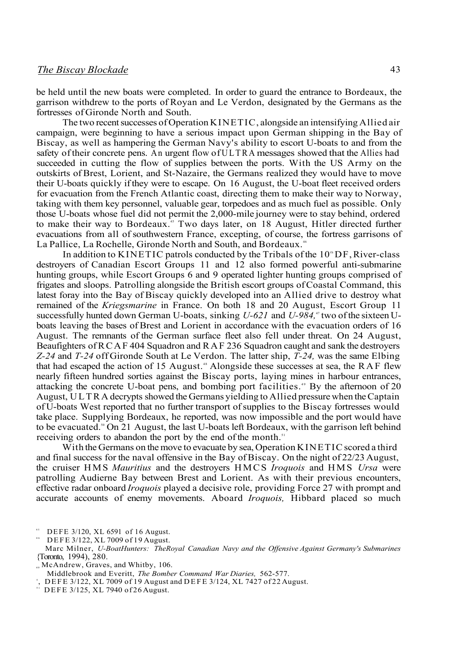be held until the new boats were completed. In order to guard the entrance to Bordeaux, the garrison withdrew to the ports of Royan and Le Verdon, designated by the Germans as the fortresses of Gironde North and South.

The two recent successes of Operation KINETIC, alongside an intensifying Allied air campaign, were beginning to have a serious impact upon German shipping in the Bay of Biscay, as well as hampering the German Navy's ability to escort U-boats to and from the safety of their concrete pens. An urgent flow of ULTR A messages showed that the Allies had succeeded in cutting the flow of supplies between the ports. With the US Army on the outskirts of Brest, Lorient, and St-Nazaire, the Germans realized they would have to move their U-boats quickly if they were to escape. On 16 August, the U-boat fleet received orders for evacuation from the French Atlantic coast, directing them to make their way to Norway, taking with them key personnel, valuable gear, torpedoes and as much fuel as possible. Only those U-boats whose fuel did not permit the 2,000-mile journey were to stay behind, ordered to make their way to Bordeaux.<sup>45</sup> Two days later, on 18 August, Hitler directed further evacuations from all of southwestern France, excepting, of course, the fortress garrisons of La Pallice, La Rochelle, Gironde North and South, and Bordeaux.<sup>46</sup>

In addition to KINETIC patrols conducted by the Tribals of the 10<sup>th</sup> DF, River-class destroyers of Canadian Escort Groups 11 and 12 also formed powerful anti-submarine hunting groups, while Escort Groups 6 and 9 operated lighter hunting groups comprised of frigates and sloops. Patrolling alongside the British escort groups of Coastal Command, this latest foray into the Bay of Biscay quickly developed into an Allied drive to destroy what remained of the *Kriegsmarine* in France. On both 18 and 20 August, Escort Group 11 successfully hunted down German U-boats, sinking *U-621* and *U-984*,<sup> $n$ </sup> two of the sixteen Uboats leaving the bases of Brest and Lorient in accordance with the evacuation orders of 16 August. The remnants of the German surface fleet also fell under threat. On 24 August, Beaufighters of RCAF 404 Squadron and RAF 236 Squadron caught and sank the destroyers *Z-24* and *T-24* off Gironde South at Le Verdon. The latter ship, *T-24,* was the same Elbing that had escaped the action of 15 August.<sup>48</sup> Alongside these successes at sea, the RAF flew nearly fifteen hundred sorties against the Biscay ports, laying mines in harbour entrances, attacking the concrete U-boat pens, and bombing port facilities.<sup>49</sup> By the afternoon of 20 August, ULTRA decrypts showed the Germans yielding to Allied pressure when the Captain of U-boats West reported that no further transport of supplies to the Biscay fortresses would take place. Supplying Bordeaux, he reported, was now impossible and the port would have to be evacuated.<sup>80</sup> On 21 August, the last U-boats left Bordeaux, with the garrison left behind receiving orders to abandon the port by the end of the month.<sup>51</sup>

With the Germans on the move to evacuate by sea, Operation KINETIC scored a third and final success for the naval offensive in the Bay of Biscay. On the night of 22/23 August, the cruiser HMS *Mauritius* and the destroyers HMCS *Iroquois* and HMS *Ursa* were patrolling Audierne Bay between Brest and Lorient. As with their previous encounters, effective radar onboard *Iroquois* played a decisive role, providing Force 27 with prompt and accurate accounts of enemy movements. Aboard *Iroquois,* Hibbard placed so much

DEFE 3/120, XL 6591 of 16 August.

4 6 DEFE 3/122, XL 7009 of 19 August.

<sup>49</sup> McAndrew, Graves, and Whitby, 106.

Marc Milner, *U-BoatHunters: TheRoyal Canadian Navy and the Offensive Against Germany's Submarines*  {Toronto, 1994), 280.

Middlebrook and Everitt, *The Bomber Command War Diaries,* 562-577.

<sup>,</sup> DEFE 3/122, XL 7009 of 19 August and DEFE 3/124, XL 7427 of 22 August.

 $11$  DEFE 3/125, XL 7940 of 26 August.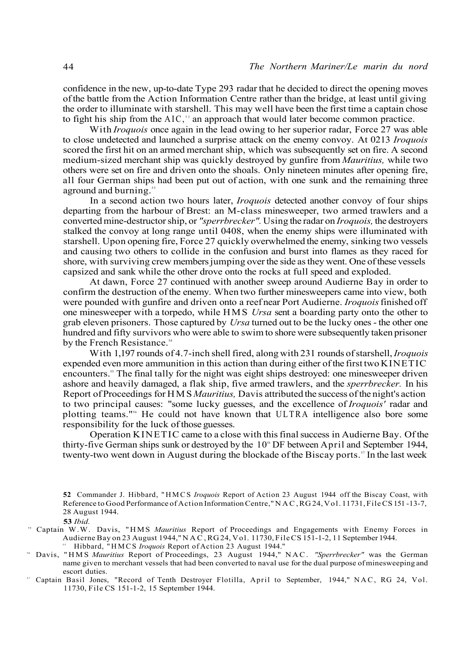confidence in the new, up-to-date Type 293 radar that he decided to direct the opening moves of the battle from the Action Information Centre rather than the bridge, at least until giving the order to illuminate with starshell. This may well have been the first time a captain chose to fight his ship from the AIC,<sup>32</sup> an approach that would later become common practice.

With *Iroquois* once again in the lead owing to her superior radar, Force 27 was able to close undetected and launched a surprise attack on the enemy convoy. At 0213 *Iroquois*  scored the first hit on an armed merchant ship, which was subsequently set on fire. A second medium-sized merchant ship was quickly destroyed by gunfire from *Mauritius,* while two others were set on fire and driven onto the shoals. Only nineteen minutes after opening fire, all four German ships had been put out of action, with one sunk and the remaining three aground and burning.<sup>53</sup>

In a second action two hours later, *Iroquois* detected another convoy of four ships departing from the harbour of Brest: an M-class minesweeper, two armed trawlers and a converted mine-destructor ship, or *"sperrbrecker".* Using the radar on *Iroquois,* the destroyers stalked the convoy at long range until 0408, when the enemy ships were illuminated with starshell. Upon opening fire, Force 27 quickly overwhelmed the enemy, sinking two vessels and causing two others to collide in the confusion and burst into flames as they raced for shore, with surviving crew members jumping over the side as they went. One of these vessels capsized and sank while the other drove onto the rocks at full speed and exploded.

At dawn, Force 27 continued with another sweep around Audierne Bay in order to confirm the destruction of the enemy. When two further minesweepers came into view, both were pounded with gunfire and driven onto a reef near Port Audierne. *Iroquois* finished off one minesweeper with a torpedo, while HMS *Ursa* sent a boarding party onto the other to grab eleven prisoners. Those captured by *Ursa* turned out to be the lucky ones - the other one hundred and fifty survivors who were able to swim to shore were subsequently taken prisoner by the French Resistance.<sup>54</sup>

With 1,197 rounds of 4.7-inch shell fired, along with 231 rounds of starshell, *Iroquois*  expended even more ammunition in this action than during either of the first two KINETIC encounters.<sup>55</sup> The final tally for the night was eight ships destroyed: one minesweeper driven ashore and heavily damaged, a flak ship, five armed trawlers, and the *sperrbrecker.* In his Report of Proceedings for HMS *Mauritius,* Davis attributed the success of the night's action to two principal causes: "some lucky guesses, and the excellence of *Iroquois'* radar and plotting teams."<sup>56</sup> He could not have known that ULTRA intelligence also bore some responsibility for the luck of those guesses.

Operation KINETIC came to a close with this final success in Audierne Bay. Of the thirty-five German ships sunk or destroyed by the 10<sup>th</sup> DF between April and September 1944, twenty-two went down in August during the blockade of the Biscay ports.<sup>57</sup> In the last week

**52** Commander J. Hibbard, "HMCS *Iroquois* Report of Action 23 August 1944 off the Biscay Coast, with Reference to Good Performance of Action Information Centre," NAC, RG 24, Vol. 11731, File CS 151 -13-7, 28 August 1944.

- <sup>54</sup> Captain W.W. Davis, "HMS Mauritius Report of Proceedings and Engagements with Enemy Forces in Audierne Bay on 23 August 1944," N A C, RG 24, Vol. 11730, File CS 151-1-2, 11 September 1944. 5 5 Hibbard, "HMCS *Iroquois* Report of Action 23 August 1944."
- 56 Davis, "HM S *Mauritius* Report of Proceedings, 23 August 1944," NAC. *"Sperrbrecker"* was the German name given to merchant vessels that had been converted to naval use for the dual purpose of minesweeping and escort duties.
- 5 7 Captain Basil Jones, "Record of Tenth Destroyer Flotilla, April to September, 1944," NAC, RG 24, Vol. 11730, File CS 151-1-2, 15 September 1944.

**<sup>53</sup>** *Ibid.*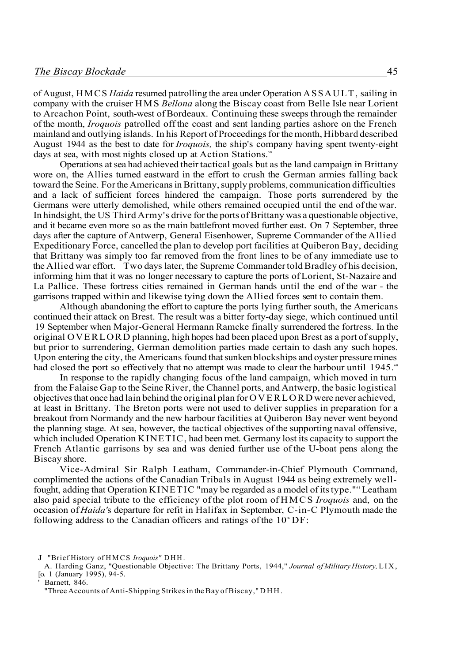of August, HMCS *Haida* resumed patrolling the area under Operation ASSAULT, sailing in company with the cruiser HMS *Bellona* along the Biscay coast from Belle Isle near Lorient to Arcachon Point, south-west of Bordeaux. Continuing these sweeps through the remainder of the month, *Iroquois* patrolled off the coast and sent landing parties ashore on the French mainland and outlying islands. In his Report of Proceedings for the month, Hibbard described August 1944 as the best to date for *Iroquois,* the ship's company having spent twenty-eight days at sea, with most nights closed up at Action Stations.<sup>58</sup>

Operations at sea had achieved their tactical goals but as the land campaign in Brittany wore on, the Allies turned eastward in the effort to crush the German armies falling back toward the Seine. For the Americans in Brittany, supply problems, communication difficulties and a lack of sufficient forces hindered the campaign. Those ports surrendered by the Germans were utterly demolished, while others remained occupied until the end of the war. In hindsight, the US Third Army's drive for the ports of Brittany was a questionable objective, and it became even more so as the main battlefront moved further east. On 7 September, three days after the capture of Antwerp, General Eisenhower, Supreme Commander of the Allied Expeditionary Force, cancelled the plan to develop port facilities at Quiberon Bay, deciding that Brittany was simply too far removed from the front lines to be of any immediate use to the Allied war effort. Two days later, the Supreme Commander told Bradley of his decision, informing him that it was no longer necessary to capture the ports of Lorient, St-Nazaire and La Pallice. These fortress cities remained in German hands until the end of the war - the garrisons trapped within and likewise tying down the Allied forces sent to contain them.

Although abandoning the effort to capture the ports lying further south, the Americans continued their attack on Brest. The result was a bitter forty-day siege, which continued until 19 September when Major-General Hermann Ramcke finally surrendered the fortress. In the original OVERLORD planning, high hopes had been placed upon Brest as a port of supply, but prior to surrendering, German demolition parties made certain to dash any such hopes. Upon entering the city, the Americans found that sunken blockships and oyster pressure mines had closed the port so effectively that no attempt was made to clear the harbour until 1945.<sup>60</sup>

In response to the rapidly changing focus of the land campaign, which moved in turn from the Falaise Gap to the Seine River, the Channel ports, and Antwerp, the basic logistical objectives that once had lain behind the original plan for OVERLORD were never achieved, at least in Brittany. The Breton ports were not used to deliver supplies in preparation for a breakout from Normandy and the new harbour facilities at Quiberon Bay never went beyond the planning stage. At sea, however, the tactical objectives of the supporting naval offensive, which included Operation KINETIC, had been met. Germany lost its capacity to support the French Atlantic garrisons by sea and was denied further use of the U-boat pens along the Biscay shore.

Vice-Admiral Sir Ralph Leatham, Commander-in-Chief Plymouth Command, complimented the actions of the Canadian Tribals in August 1944 as being extremely wellfought, adding that Operation KINETIC "may be regarded as a model of its type."<sup>61</sup> Leatham also paid special tribute to the efficiency of the plot room of HMCS *Iroquois* and, on the occasion of *Haida'*s departure for refit in Halifax in September, C-in-C Plymouth made the following address to the Canadian officers and ratings of the  $10<sup>th</sup> DF$ :

**J** "Brief History of HMCS *Iroquois"* DHH.

A. Harding Ganz, "Questionable Objective: The Brittany Ports, 1944," *Journal of Military History,* LIX, [o. 1 (January 1995), 94-5.

Barnett, 846.

<sup>&</sup>quot;Three Accounts of Anti-Shipping Strikes in the Bay of Biscay," DHH .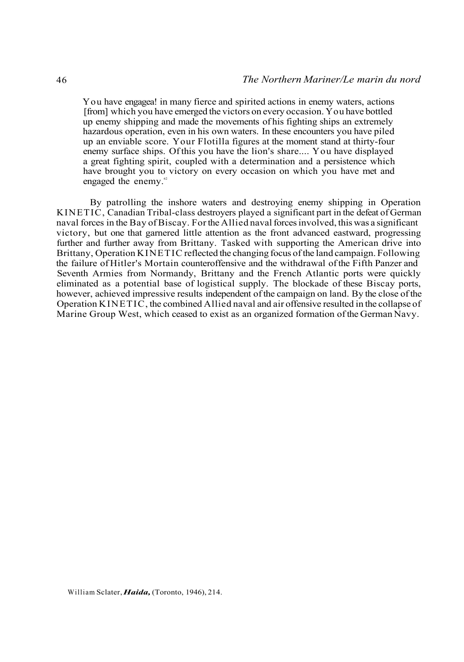You have engagea! in many fierce and spirited actions in enemy waters, actions [from] which you have emerged the victors on every occasion. You have bottled up enemy shipping and made the movements of his fighting ships an extremely hazardous operation, even in his own waters. In these encounters you have piled up an enviable score. Your Flotilla figures at the moment stand at thirty-four enemy surface ships. Of this you have the lion's share.... You have displayed a great fighting spirit, coupled with a determination and a persistence which have brought you to victory on every occasion on which you have met and engaged the enemy. $62$ 

By patrolling the inshore waters and destroying enemy shipping in Operation KINETIC, Canadian Tribal-class destroyers played a significant part in the defeat of German naval forces in the Bay of Biscay. For the Allied naval forces involved, this was a significant victory, but one that garnered little attention as the front advanced eastward, progressing further and further away from Brittany. Tasked with supporting the American drive into Brittany, Operation KINETIC reflected the changing focus of the land campaign. Following the failure of Hitler's Mortain counteroffensive and the withdrawal of the Fifth Panzer and Seventh Armies from Normandy, Brittany and the French Atlantic ports were quickly eliminated as a potential base of logistical supply. The blockade of these Biscay ports, however, achieved impressive results independent of the campaign on land. By the close of the Operation KINETIC, the combined Allied naval and air offensive resulted in the collapse of Marine Group West, which ceased to exist as an organized formation of the German Navy.